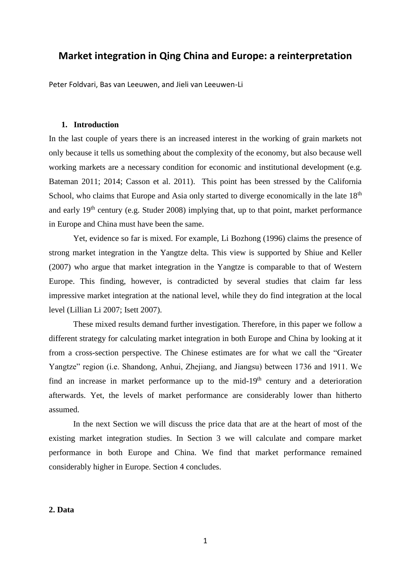# **Market integration in Qing China and Europe: a reinterpretation**

Peter Foldvari, Bas van Leeuwen, and Jieli van Leeuwen-Li

# **1. Introduction**

In the last couple of years there is an increased interest in the working of grain markets not only because it tells us something about the complexity of the economy, but also because well working markets are a necessary condition for economic and institutional development (e.g. Bateman 2011; 2014; Casson et al. 2011). This point has been stressed by the California School, who claims that Europe and Asia only started to diverge economically in the late  $18<sup>th</sup>$ and early 19<sup>th</sup> century (e.g. Studer 2008) implying that, up to that point, market performance in Europe and China must have been the same.

Yet, evidence so far is mixed. For example, Li Bozhong (1996) claims the presence of strong market integration in the Yangtze delta. This view is supported by Shiue and Keller (2007) who argue that market integration in the Yangtze is comparable to that of Western Europe. This finding, however, is contradicted by several studies that claim far less impressive market integration at the national level, while they do find integration at the local level (Lillian Li 2007; Isett 2007).

These mixed results demand further investigation. Therefore, in this paper we follow a different strategy for calculating market integration in both Europe and China by looking at it from a cross-section perspective. The Chinese estimates are for what we call the "Greater Yangtze" region (i.e. Shandong, Anhui, Zhejiang, and Jiangsu) between 1736 and 1911. We find an increase in market performance up to the mid-19<sup>th</sup> century and a deterioration afterwards. Yet, the levels of market performance are considerably lower than hitherto assumed.

In the next Section we will discuss the price data that are at the heart of most of the existing market integration studies. In Section 3 we will calculate and compare market performance in both Europe and China. We find that market performance remained considerably higher in Europe. Section 4 concludes.

## **2. Data**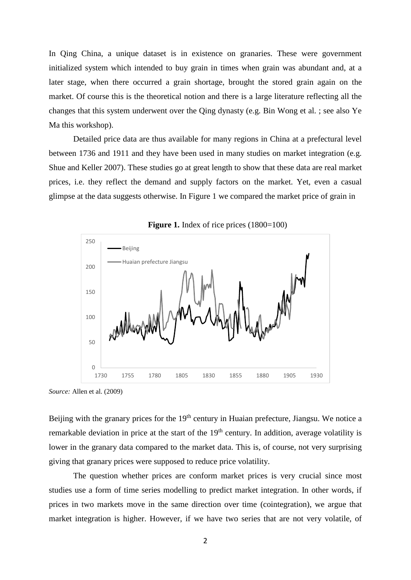In Qing China, a unique dataset is in existence on granaries. These were government initialized system which intended to buy grain in times when grain was abundant and, at a later stage, when there occurred a grain shortage, brought the stored grain again on the market. Of course this is the theoretical notion and there is a large literature reflecting all the changes that this system underwent over the Qing dynasty (e.g. Bin Wong et al. ; see also Ye Ma this workshop).

Detailed price data are thus available for many regions in China at a prefectural level between 1736 and 1911 and they have been used in many studies on market integration (e.g. Shue and Keller 2007). These studies go at great length to show that these data are real market prices, i.e. they reflect the demand and supply factors on the market. Yet, even a casual glimpse at the data suggests otherwise. In Figure 1 we compared the market price of grain in





*Source:* Allen et al. (2009)

Beijing with the granary prices for the 19<sup>th</sup> century in Huaian prefecture, Jiangsu. We notice a remarkable deviation in price at the start of the  $19<sup>th</sup>$  century. In addition, average volatility is lower in the granary data compared to the market data. This is, of course, not very surprising giving that granary prices were supposed to reduce price volatility.

The question whether prices are conform market prices is very crucial since most studies use a form of time series modelling to predict market integration. In other words, if prices in two markets move in the same direction over time (cointegration), we argue that market integration is higher. However, if we have two series that are not very volatile, of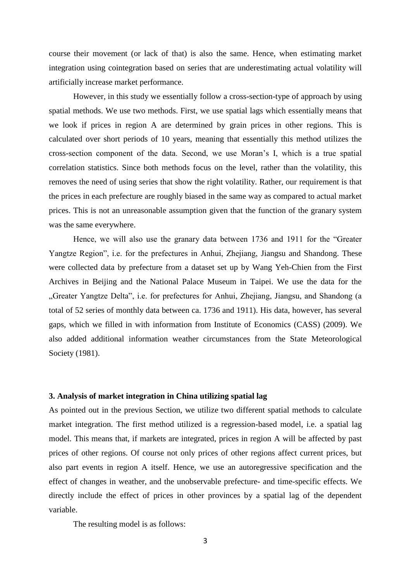course their movement (or lack of that) is also the same. Hence, when estimating market integration using cointegration based on series that are underestimating actual volatility will artificially increase market performance.

However, in this study we essentially follow a cross-section-type of approach by using spatial methods. We use two methods. First, we use spatial lags which essentially means that we look if prices in region A are determined by grain prices in other regions. This is calculated over short periods of 10 years, meaning that essentially this method utilizes the cross-section component of the data. Second, we use Moran's I, which is a true spatial correlation statistics. Since both methods focus on the level, rather than the volatility, this removes the need of using series that show the right volatility. Rather, our requirement is that the prices in each prefecture are roughly biased in the same way as compared to actual market prices. This is not an unreasonable assumption given that the function of the granary system was the same everywhere.

Hence, we will also use the granary data between 1736 and 1911 for the "Greater Yangtze Region", i.e. for the prefectures in Anhui, Zhejiang, Jiangsu and Shandong. These were collected data by prefecture from a dataset set up by Wang Yeh-Chien from the First Archives in Beijing and the National Palace Museum in Taipei. We use the data for the "Greater Yangtze Delta", i.e. for prefectures for Anhui, Zhejiang, Jiangsu, and Shandong (a total of 52 series of monthly data between ca. 1736 and 1911). His data, however, has several gaps, which we filled in with information from Institute of Economics (CASS) (2009). We also added additional information weather circumstances from the State Meteorological Society (1981).

## **3. Analysis of market integration in China utilizing spatial lag**

As pointed out in the previous Section, we utilize two different spatial methods to calculate market integration. The first method utilized is a regression-based model, i.e. a spatial lag model. This means that, if markets are integrated, prices in region A will be affected by past prices of other regions. Of course not only prices of other regions affect current prices, but also part events in region A itself. Hence, we use an autoregressive specification and the effect of changes in weather, and the unobservable prefecture- and time-specific effects. We directly include the effect of prices in other provinces by a spatial lag of the dependent variable.

The resulting model is as follows: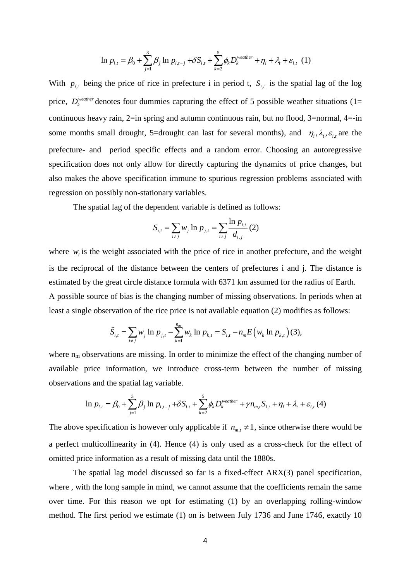$$
\ln p_{i,t} = \beta_0 + \sum_{j=1}^3 \beta_j \ln p_{i,t-j} + \delta S_{i,t} + \sum_{k=2}^5 \phi_k D_k^{\text{weather}} + \eta_i + \lambda_t + \varepsilon_{i,t} \tag{1}
$$

With  $p_{i,t}$  being the price of rice in prefecture i in period t,  $S_{i,t}$  is the spatial lag of the log price,  $D_k^{\text{weather}}$  denotes four dummies capturing the effect of 5 possible weather situations (1= continuous heavy rain, 2=in spring and autumn continuous rain, but no flood, 3=normal, 4=-in some months small drought, 5=drought can last for several months), and  $\eta_i$ ,  $\lambda_i$ ,  $\varepsilon_i$  are the prefecture- and period specific effects and a random error. Choosing an autoregressive specification does not only allow for directly capturing the dynamics of price changes, but also makes the above specification immune to spurious regression problems associated with regression on possibly non-stationary variables.

The spatial lag of the dependent variable is defined as follows:

$$
S_{i,t} = \sum_{i \neq j} w_j \ln p_{j,t} = \sum_{i \neq j} \frac{\ln p_{i,t}}{d_{i,j}} (2)
$$

where  $w_i$  is the weight associated with the price of rice in another prefecture, and the weight is the reciprocal of the distance between the centers of prefectures i and j. The distance is estimated by the great circle distance formula with 6371 km assumed for the radius of Earth. A possible source of bias is the changing number of missing observations. In periods when at least a single observation of the rice price is not available equation (2) modifies as follows:

$$
\tilde{S}_{i,t} = \sum_{i \neq j} w_j \ln p_{j,t} - \sum_{k=1}^{n_m} w_k \ln p_{k,t} = S_{i,t} - n_m E(w_k \ln p_{k,t})
$$
 (3),

where  $n_m$  observations are missing. In order to minimize the effect of the changing number of available price information, we introduce cross-term between the number of missing observations and the spatial lag variable.

$$
\ln p_{i,t} = \beta_0 + \sum_{j=1}^3 \beta_j \ln p_{i,t-j} + \delta S_{i,t} + \sum_{k=2}^5 \phi_k D_k^{\text{weather}} + \gamma n_{m,t} S_{i,t} + \eta_i + \lambda_t + \varepsilon_{i,t} (4)
$$

The above specification is however only applicable if  $n_{m,t} \neq 1$ , since otherwise there would be a perfect multicollinearity in (4). Hence (4) is only used as a cross-check for the effect of omitted price information as a result of missing data until the 1880s.

The spatial lag model discussed so far is a fixed-effect ARX(3) panel specification, where, with the long sample in mind, we cannot assume that the coefficients remain the same over time. For this reason we opt for estimating (1) by an overlapping rolling-window method. The first period we estimate (1) on is between July 1736 and June 1746, exactly 10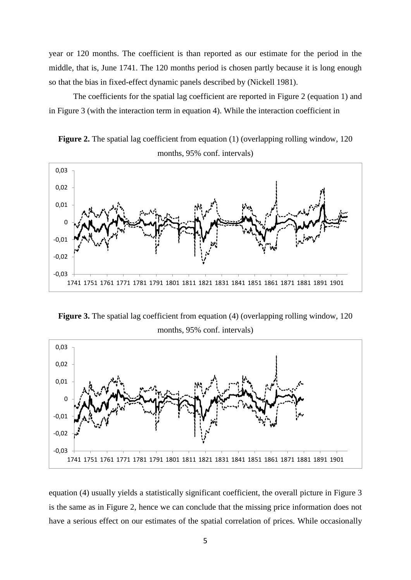year or 120 months. The coefficient is than reported as our estimate for the period in the middle, that is, June 1741. The 120 months period is chosen partly because it is long enough so that the bias in fixed-effect dynamic panels described by (Nickell 1981).

The coefficients for the spatial lag coefficient are reported in Figure 2 (equation 1) and in Figure 3 (with the interaction term in equation 4). While the interaction coefficient in

**Figure 2.** The spatial lag coefficient from equation (1) (overlapping rolling window, 120 months, 95% conf. intervals)



**Figure 3.** The spatial lag coefficient from equation (4) (overlapping rolling window, 120) months, 95% conf. intervals)



equation (4) usually yields a statistically significant coefficient, the overall picture in Figure 3 is the same as in Figure 2, hence we can conclude that the missing price information does not have a serious effect on our estimates of the spatial correlation of prices. While occasionally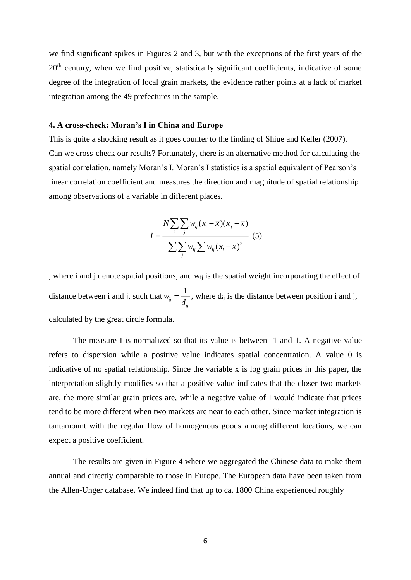we find significant spikes in Figures 2 and 3, but with the exceptions of the first years of the 20<sup>th</sup> century, when we find positive, statistically significant coefficients, indicative of some degree of the integration of local grain markets, the evidence rather points at a lack of market integration among the 49 prefectures in the sample.

### **4. A cross-check: Moran's I in China and Europe**

This is quite a shocking result as it goes counter to the finding of Shiue and Keller (2007). Can we cross-check our results? Fortunately, there is an alternative method for calculating the spatial correlation, namely Moran's I. Moran's I statistics is a spatial equivalent of Pearson's linear correlation coefficient and measures the direction and magnitude of spatial relationship among observations of a variable in different places.

$$
I = \frac{N \sum_{i} \sum_{j} w_{ij} (x_i - \overline{x})(x_j - \overline{x})}{\sum_{i} \sum_{j} w_{ij} \sum_{j} w_{ij} (x_i - \overline{x})^2}
$$
(5)

, where i and j denote spatial positions, and w<sub>ij</sub> is the spatial weight incorporating the effect of distance between i and j, such that  $w_{ii} = \frac{1}{1}$ *ij ij*  $w_{ij} = \frac{1}{d_{ij}}$ , where d<sub>ij</sub> is the distance between position i and j, calculated by the great circle formula.

The measure I is normalized so that its value is between -1 and 1. A negative value refers to dispersion while a positive value indicates spatial concentration. A value 0 is indicative of no spatial relationship. Since the variable x is log grain prices in this paper, the interpretation slightly modifies so that a positive value indicates that the closer two markets are, the more similar grain prices are, while a negative value of I would indicate that prices tend to be more different when two markets are near to each other. Since market integration is tantamount with the regular flow of homogenous goods among different locations, we can expect a positive coefficient.

The results are given in Figure 4 where we aggregated the Chinese data to make them annual and directly comparable to those in Europe. The European data have been taken from the Allen-Unger database. We indeed find that up to ca. 1800 China experienced roughly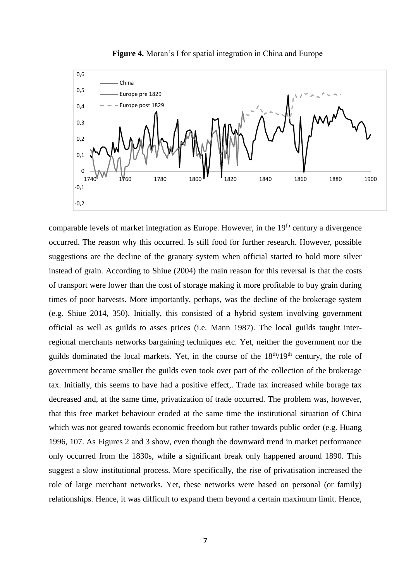

**Figure 4.** Moran's I for spatial integration in China and Europe

comparable levels of market integration as Europe. However, in the  $19<sup>th</sup>$  century a divergence occurred. The reason why this occurred. Is still food for further research. However, possible suggestions are the decline of the granary system when official started to hold more silver instead of grain. According to Shiue (2004) the main reason for this reversal is that the costs of transport were lower than the cost of storage making it more profitable to buy grain during times of poor harvests. More importantly, perhaps, was the decline of the brokerage system (e.g. Shiue 2014, 350). Initially, this consisted of a hybrid system involving government official as well as guilds to asses prices (i.e. Mann 1987). The local guilds taught interregional merchants networks bargaining techniques etc. Yet, neither the government nor the guilds dominated the local markets. Yet, in the course of the  $18<sup>th</sup>/19<sup>th</sup>$  century, the role of government became smaller the guilds even took over part of the collection of the brokerage tax. Initially, this seems to have had a positive effect,. Trade tax increased while borage tax decreased and, at the same time, privatization of trade occurred. The problem was, however, that this free market behaviour eroded at the same time the institutional situation of China which was not geared towards economic freedom but rather towards public order (e.g. Huang 1996, 107. As Figures 2 and 3 show, even though the downward trend in market performance only occurred from the 1830s, while a significant break only happened around 1890. This suggest a slow institutional process. More specifically, the rise of privatisation increased the role of large merchant networks. Yet, these networks were based on personal (or family) relationships. Hence, it was difficult to expand them beyond a certain maximum limit. Hence,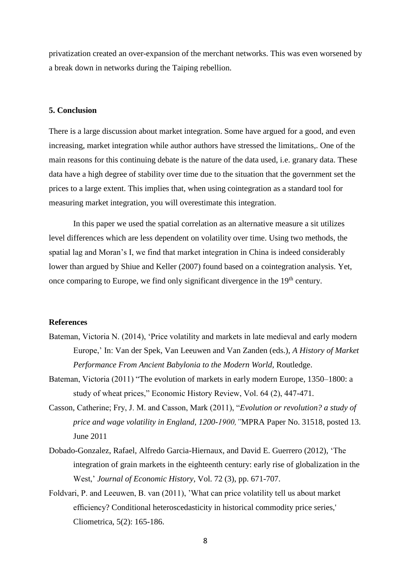privatization created an over-expansion of the merchant networks. This was even worsened by a break down in networks during the Taiping rebellion.

#### **5. Conclusion**

There is a large discussion about market integration. Some have argued for a good, and even increasing, market integration while author authors have stressed the limitations,. One of the main reasons for this continuing debate is the nature of the data used, i.e. granary data. These data have a high degree of stability over time due to the situation that the government set the prices to a large extent. This implies that, when using cointegration as a standard tool for measuring market integration, you will overestimate this integration.

In this paper we used the spatial correlation as an alternative measure a sit utilizes level differences which are less dependent on volatility over time. Using two methods, the spatial lag and Moran's I, we find that market integration in China is indeed considerably lower than argued by Shiue and Keller (2007) found based on a cointegration analysis. Yet, once comparing to Europe, we find only significant divergence in the 19<sup>th</sup> century.

#### **References**

- Bateman, Victoria N. (2014), 'Price volatility and markets in late medieval and early modern Europe,' In: Van der Spek, Van Leeuwen and Van Zanden (eds.), *A History of Market Performance From Ancient Babylonia to the Modern World,* Routledge.
- Bateman, Victoria (2011) "The evolution of markets in early modern Europe, 1350–1800: a study of wheat prices," Economic History Review, Vol. 64 (2), 447-471.
- Casson, Catherine; Fry, J. M. and Casson, Mark (2011), "*Evolution or revolution? a study of price and wage volatility in England, 1200-1900,"*MPRA Paper No. 31518, posted 13. June 2011
- Dobado-Gonzalez, Rafael, Alfredo Garcia-Hiernaux, and David E. Guerrero (2012), 'The integration of grain markets in the eighteenth century: early rise of globalization in the West,' *Journal of Economic History,* Vol. 72 (3), pp. 671-707.
- Foldvari, P. and Leeuwen, B. van (2011), 'What can price volatility tell us about market efficiency? Conditional heteroscedasticity in historical commodity price series,' Cliometrica, 5(2): 165-186.